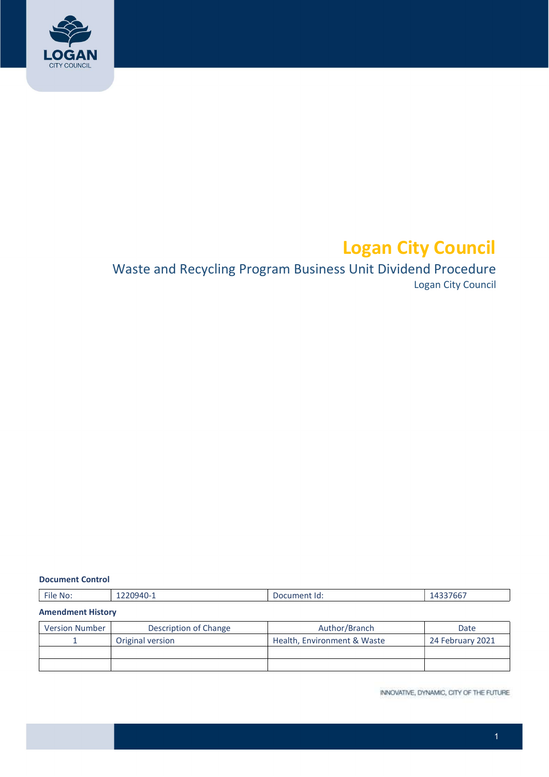

# Logan City Council

## Waste and Recycling Program Business Unit Dividend Procedure Logan City Council

#### Document Control

| $-$<br>$1220940 - 1$<br>. .<br>File<br>No:<br>______ | Document Id:<br>. | 1000000000<br>9ء،<br>433766,<br>_____ |
|------------------------------------------------------|-------------------|---------------------------------------|
|------------------------------------------------------|-------------------|---------------------------------------|

#### Amendment History

| <b>Version Number</b> | Description of Change | Author/Branch               | Date             |
|-----------------------|-----------------------|-----------------------------|------------------|
|                       | Original version      | Health, Environment & Waste | 24 February 2021 |
|                       |                       |                             |                  |
|                       |                       |                             |                  |

INNOVATIVE, DYNAMIC, CITY OF THE FUTURE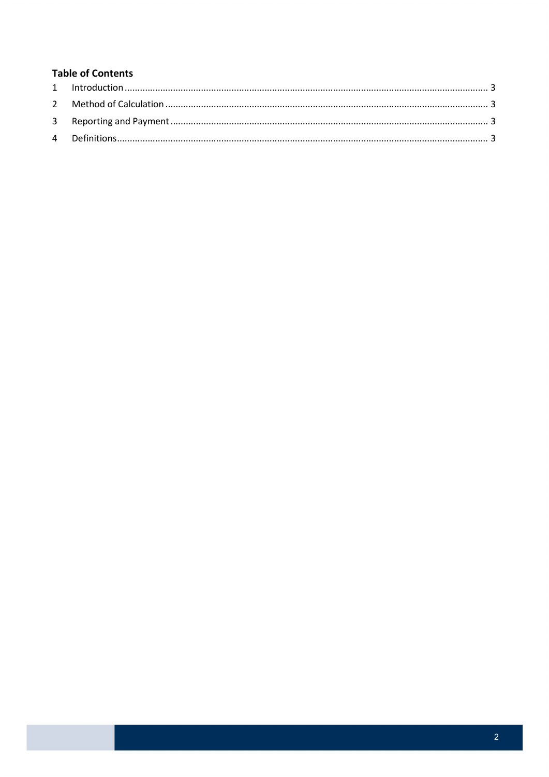#### **Table of Contents**